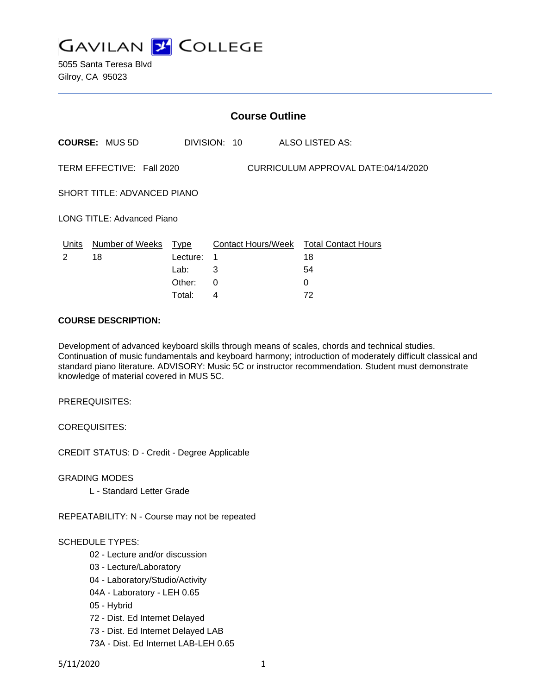

5055 Santa Teresa Blvd Gilroy, CA 95023

|                                                                  | <b>Course Outline</b> |          |              |                                        |  |
|------------------------------------------------------------------|-----------------------|----------|--------------|----------------------------------------|--|
|                                                                  | <b>COURSE: MUS 5D</b> |          | DIVISION: 10 | <b>ALSO LISTED AS:</b>                 |  |
| TERM EFFECTIVE: Fall 2020<br>CURRICULUM APPROVAL DATE:04/14/2020 |                       |          |              |                                        |  |
| SHORT TITLE: ADVANCED PIANO                                      |                       |          |              |                                        |  |
| <b>LONG TITLE: Advanced Piano</b>                                |                       |          |              |                                        |  |
| Units                                                            | Number of Weeks Type  |          |              | Contact Hours/Week Total Contact Hours |  |
| $\mathcal{P}$                                                    | 18                    | Lecture: | 1            | 18                                     |  |
|                                                                  |                       | Lab:     | 3            | 54                                     |  |
|                                                                  |                       | Other:   | $\Omega$     | 0                                      |  |
|                                                                  |                       | Total:   | 4            | 72                                     |  |

#### **COURSE DESCRIPTION:**

Development of advanced keyboard skills through means of scales, chords and technical studies. Continuation of music fundamentals and keyboard harmony; introduction of moderately difficult classical and standard piano literature. ADVISORY: Music 5C or instructor recommendation. Student must demonstrate knowledge of material covered in MUS 5C.

PREREQUISITES:

COREQUISITES:

CREDIT STATUS: D - Credit - Degree Applicable

GRADING MODES

L - Standard Letter Grade

REPEATABILITY: N - Course may not be repeated

#### SCHEDULE TYPES:

- 02 Lecture and/or discussion
- 03 Lecture/Laboratory
- 04 Laboratory/Studio/Activity
- 04A Laboratory LEH 0.65
- 05 Hybrid
- 72 Dist. Ed Internet Delayed
- 73 Dist. Ed Internet Delayed LAB
- 73A Dist. Ed Internet LAB-LEH 0.65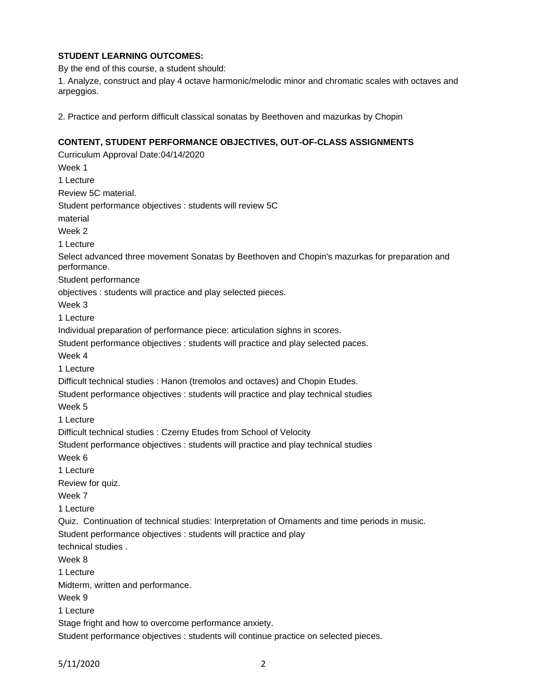# **STUDENT LEARNING OUTCOMES:**

By the end of this course, a student should:

1. Analyze, construct and play 4 octave harmonic/melodic minor and chromatic scales with octaves and arpeggios.

2. Practice and perform difficult classical sonatas by Beethoven and mazurkas by Chopin

## **CONTENT, STUDENT PERFORMANCE OBJECTIVES, OUT-OF-CLASS ASSIGNMENTS**

Curriculum Approval Date:04/14/2020 Week 1 1 Lecture Review 5C material. Student performance objectives : students will review 5C material Week 2 1 Lecture Select advanced three movement Sonatas by Beethoven and Chopin's mazurkas for preparation and performance. Student performance objectives : students will practice and play selected pieces. Week 3 1 Lecture Individual preparation of performance piece: articulation sighns in scores. Student performance objectives : students will practice and play selected paces. Week 4 1 Lecture Difficult technical studies : Hanon (tremolos and octaves) and Chopin Etudes. Student performance objectives : students will practice and play technical studies Week 5 1 Lecture Difficult technical studies : Czerny Etudes from School of Velocity Student performance objectives : students will practice and play technical studies Week 6 1 Lecture Review for quiz. Week 7 1 Lecture Quiz. Continuation of technical studies: Interpretation of Ornaments and time periods in music. Student performance objectives : students will practice and play technical studies . Week 8 1 Lecture Midterm, written and performance. Week 9 1 Lecture Stage fright and how to overcome performance anxiety. Student performance objectives : students will continue practice on selected pieces.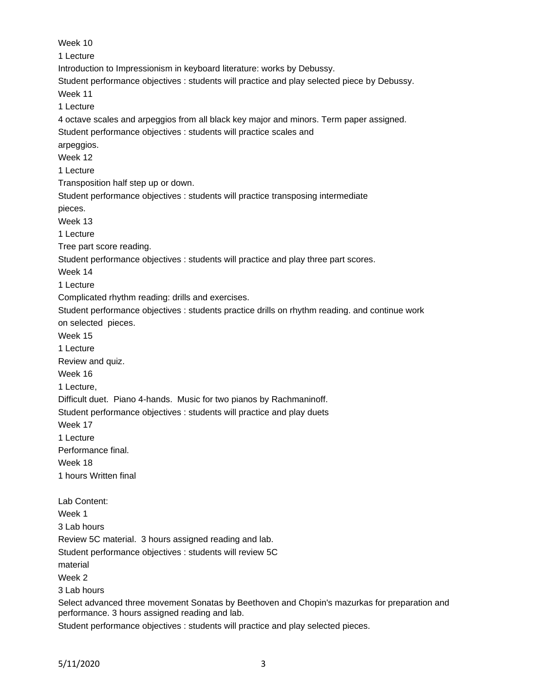Week 10 1 Lecture Introduction to Impressionism in keyboard literature: works by Debussy. Student performance objectives : students will practice and play selected piece by Debussy. Week 11 1 Lecture 4 octave scales and arpeggios from all black key major and minors. Term paper assigned. Student performance objectives : students will practice scales and arpeggios. Week 12 1 Lecture Transposition half step up or down. Student performance objectives : students will practice transposing intermediate pieces. Week 13 1 Lecture Tree part score reading. Student performance objectives : students will practice and play three part scores. Week 14 1 Lecture Complicated rhythm reading: drills and exercises. Student performance objectives : students practice drills on rhythm reading. and continue work on selected pieces. Week 15 1 Lecture Review and quiz. Week 16 1 Lecture, Difficult duet. Piano 4-hands. Music for two pianos by Rachmaninoff. Student performance objectives : students will practice and play duets Week 17 1 Lecture Performance final. Week 18 1 hours Written final Lab Content: Week 1 3 Lab hours Review 5C material. 3 hours assigned reading and lab. Student performance objectives : students will review 5C material Week 2 3 Lab hours Select advanced three movement Sonatas by Beethoven and Chopin's mazurkas for preparation and performance. 3 hours assigned reading and lab. Student performance objectives : students will practice and play selected pieces.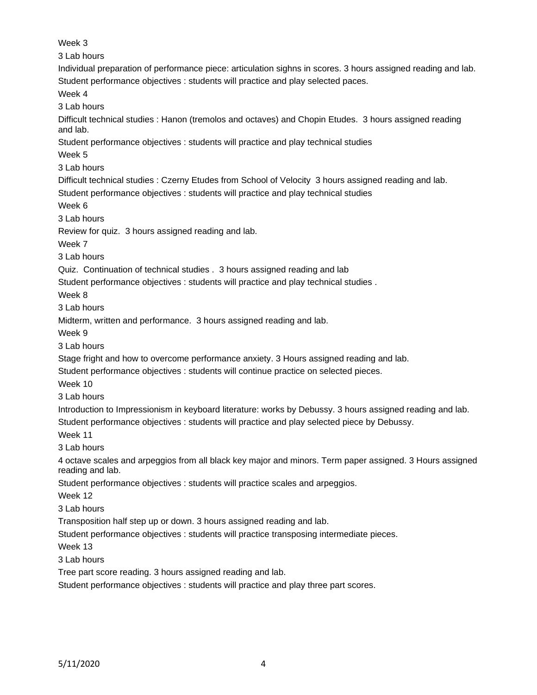Week 3 3 Lab hours Individual preparation of performance piece: articulation sighns in scores. 3 hours assigned reading and lab. Student performance objectives : students will practice and play selected paces. Week 4 3 Lab hours Difficult technical studies : Hanon (tremolos and octaves) and Chopin Etudes. 3 hours assigned reading and lab. Student performance objectives : students will practice and play technical studies Week 5 3 Lab hours Difficult technical studies : Czerny Etudes from School of Velocity 3 hours assigned reading and lab. Student performance objectives : students will practice and play technical studies Week 6 3 Lab hours Review for quiz. 3 hours assigned reading and lab. Week 7 3 Lab hours Quiz. Continuation of technical studies . 3 hours assigned reading and lab Student performance objectives : students will practice and play technical studies . Week 8 3 Lab hours Midterm, written and performance. 3 hours assigned reading and lab. Week 9 3 Lab hours Stage fright and how to overcome performance anxiety. 3 Hours assigned reading and lab. Student performance objectives : students will continue practice on selected pieces. Week 10 3 Lab hours Introduction to Impressionism in keyboard literature: works by Debussy. 3 hours assigned reading and lab. Student performance objectives : students will practice and play selected piece by Debussy. Week 11 3 Lab hours 4 octave scales and arpeggios from all black key major and minors. Term paper assigned. 3 Hours assigned reading and lab. Student performance objectives : students will practice scales and arpeggios. Week 12 3 Lab hours Transposition half step up or down. 3 hours assigned reading and lab. Student performance objectives : students will practice transposing intermediate pieces. Week 13 3 Lab hours Tree part score reading. 3 hours assigned reading and lab. Student performance objectives : students will practice and play three part scores.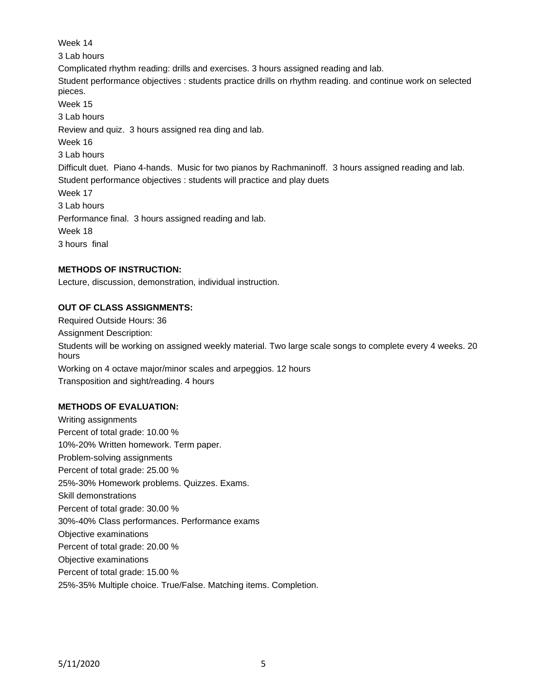Week 14 3 Lab hours Complicated rhythm reading: drills and exercises. 3 hours assigned reading and lab. Student performance objectives : students practice drills on rhythm reading. and continue work on selected pieces. Week 15 3 Lab hours Review and quiz. 3 hours assigned rea ding and lab. Week 16 3 Lab hours Difficult duet. Piano 4-hands. Music for two pianos by Rachmaninoff. 3 hours assigned reading and lab. Student performance objectives : students will practice and play duets Week 17 3 Lab hours Performance final. 3 hours assigned reading and lab. Week 18 3 hours final

## **METHODS OF INSTRUCTION:**

Lecture, discussion, demonstration, individual instruction.

## **OUT OF CLASS ASSIGNMENTS:**

Required Outside Hours: 36 Assignment Description: Students will be working on assigned weekly material. Two large scale songs to complete every 4 weeks. 20 hours Working on 4 octave major/minor scales and arpeggios. 12 hours Transposition and sight/reading. 4 hours

### **METHODS OF EVALUATION:**

Writing assignments Percent of total grade: 10.00 % 10%-20% Written homework. Term paper. Problem-solving assignments Percent of total grade: 25.00 % 25%-30% Homework problems. Quizzes. Exams. Skill demonstrations Percent of total grade: 30.00 % 30%-40% Class performances. Performance exams Objective examinations Percent of total grade: 20.00 % Objective examinations Percent of total grade: 15.00 % 25%-35% Multiple choice. True/False. Matching items. Completion.